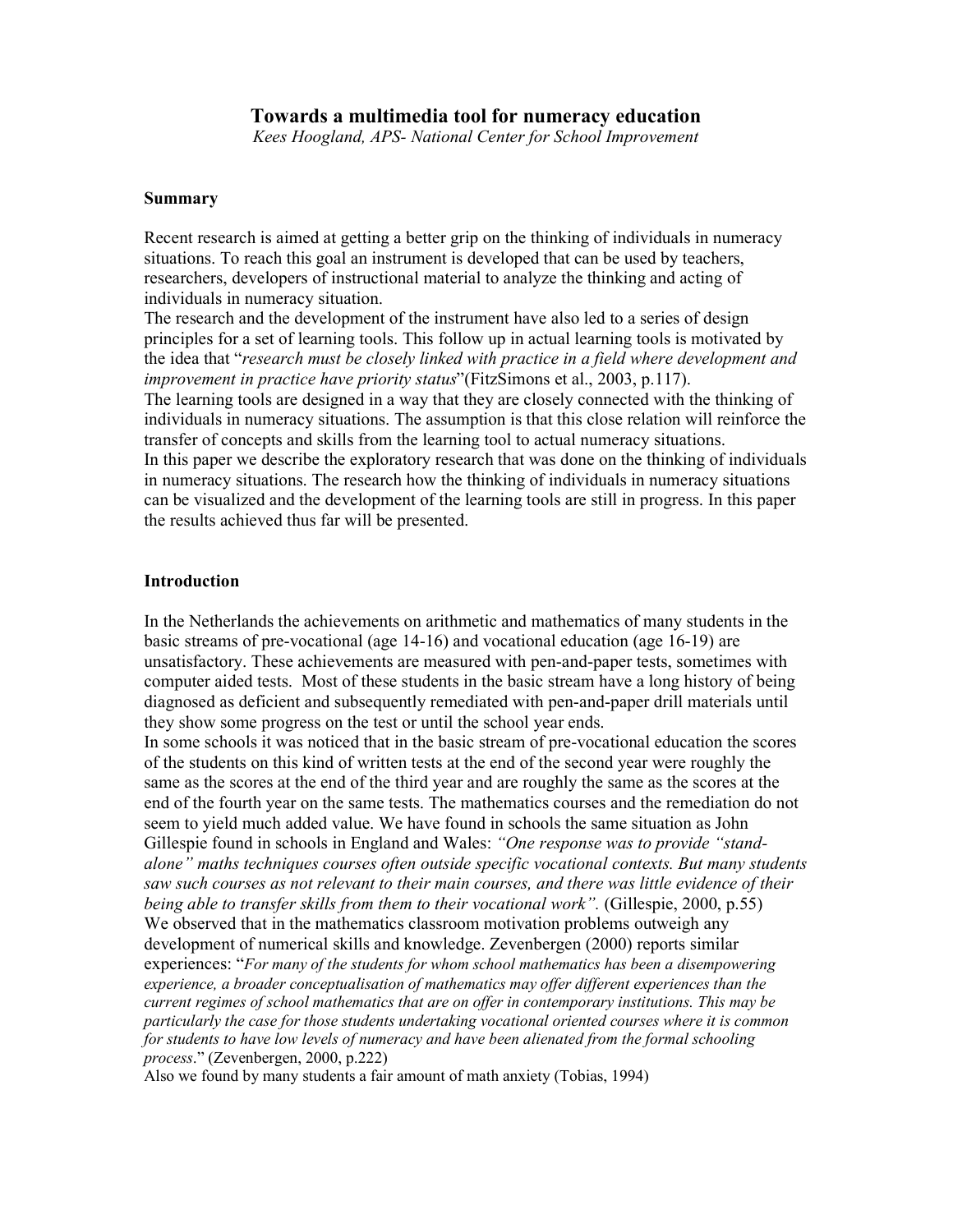Kees Hoogland, APS- National Center for School Improvement

### Summary

Recent research is aimed at getting a better grip on the thinking of individuals in numeracy situations. To reach this goal an instrument is developed that can be used by teachers, researchers, developers of instructional material to analyze the thinking and acting of individuals in numeracy situation.

The research and the development of the instrument have also led to a series of design principles for a set of learning tools. This follow up in actual learning tools is motivated by the idea that "research must be closely linked with practice in a field where development and improvement in practice have priority status"(FitzSimons et al., 2003, p.117). The learning tools are designed in a way that they are closely connected with the thinking of individuals in numeracy situations. The assumption is that this close relation will reinforce the transfer of concepts and skills from the learning tool to actual numeracy situations. In this paper we describe the exploratory research that was done on the thinking of individuals in numeracy situations. The research how the thinking of individuals in numeracy situations can be visualized and the development of the learning tools are still in progress. In this paper the results achieved thus far will be presented.

## Introduction

In the Netherlands the achievements on arithmetic and mathematics of many students in the basic streams of pre-vocational (age 14-16) and vocational education (age 16-19) are unsatisfactory. These achievements are measured with pen-and-paper tests, sometimes with computer aided tests. Most of these students in the basic stream have a long history of being diagnosed as deficient and subsequently remediated with pen-and-paper drill materials until they show some progress on the test or until the school year ends.

In some schools it was noticed that in the basic stream of pre-vocational education the scores of the students on this kind of written tests at the end of the second year were roughly the same as the scores at the end of the third year and are roughly the same as the scores at the end of the fourth year on the same tests. The mathematics courses and the remediation do not seem to yield much added value. We have found in schools the same situation as John Gillespie found in schools in England and Wales: "One response was to provide "standalone" maths techniques courses often outside specific vocational contexts. But many students saw such courses as not relevant to their main courses, and there was little evidence of their being able to transfer skills from them to their vocational work". (Gillespie, 2000, p.55) We observed that in the mathematics classroom motivation problems outweigh any development of numerical skills and knowledge. Zevenbergen (2000) reports similar experiences: "For many of the students for whom school mathematics has been a disempowering experience, a broader conceptualisation of mathematics may offer different experiences than the current regimes of school mathematics that are on offer in contemporary institutions. This may be particularly the case for those students undertaking vocational oriented courses where it is common for students to have low levels of numeracy and have been alienated from the formal schooling process." (Zevenbergen, 2000, p.222)

Also we found by many students a fair amount of math anxiety (Tobias, 1994)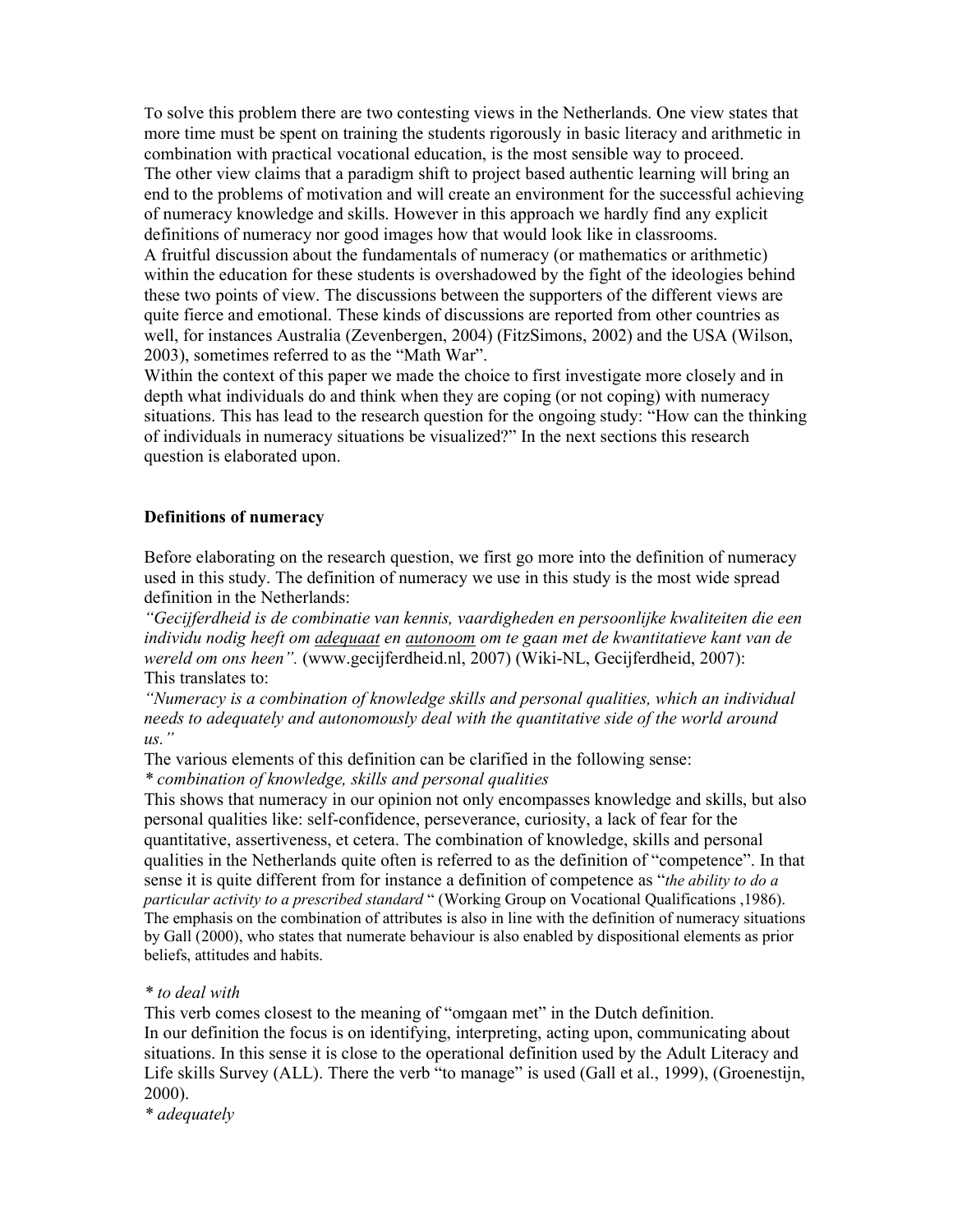To solve this problem there are two contesting views in the Netherlands. One view states that more time must be spent on training the students rigorously in basic literacy and arithmetic in combination with practical vocational education, is the most sensible way to proceed. The other view claims that a paradigm shift to project based authentic learning will bring an end to the problems of motivation and will create an environment for the successful achieving of numeracy knowledge and skills. However in this approach we hardly find any explicit definitions of numeracy nor good images how that would look like in classrooms. A fruitful discussion about the fundamentals of numeracy (or mathematics or arithmetic) within the education for these students is overshadowed by the fight of the ideologies behind these two points of view. The discussions between the supporters of the different views are quite fierce and emotional. These kinds of discussions are reported from other countries as well, for instances Australia (Zevenbergen, 2004) (FitzSimons, 2002) and the USA (Wilson, 2003), sometimes referred to as the "Math War".

Within the context of this paper we made the choice to first investigate more closely and in depth what individuals do and think when they are coping (or not coping) with numeracy situations. This has lead to the research question for the ongoing study: "How can the thinking of individuals in numeracy situations be visualized?" In the next sections this research question is elaborated upon.

### Definitions of numeracy

Before elaborating on the research question, we first go more into the definition of numeracy used in this study. The definition of numeracy we use in this study is the most wide spread definition in the Netherlands:

"Gecijferdheid is de combinatie van kennis, vaardigheden en persoonlijke kwaliteiten die een individu nodig heeft om adequaat en autonoom om te gaan met de kwantitatieve kant van de wereld om ons heen". (www.gecijferdheid.nl, 2007) (Wiki-NL, Gecijferdheid, 2007): This translates to:

"Numeracy is a combination of knowledge skills and personal qualities, which an individual needs to adequately and autonomously deal with the quantitative side of the world around  $us.$ "

The various elements of this definition can be clarified in the following sense:

\* combination of knowledge, skills and personal qualities

This shows that numeracy in our opinion not only encompasses knowledge and skills, but also personal qualities like: self-confidence, perseverance, curiosity, a lack of fear for the quantitative, assertiveness, et cetera. The combination of knowledge, skills and personal qualities in the Netherlands quite often is referred to as the definition of "competence". In that sense it is quite different from for instance a definition of competence as "the ability to do a particular activity to a prescribed standard " (Working Group on Vocational Qualifications ,1986). The emphasis on the combination of attributes is also in line with the definition of numeracy situations by Gall (2000), who states that numerate behaviour is also enabled by dispositional elements as prior beliefs, attitudes and habits.

# \* to deal with

This verb comes closest to the meaning of "omgaan met" in the Dutch definition. In our definition the focus is on identifying, interpreting, acting upon, communicating about situations. In this sense it is close to the operational definition used by the Adult Literacy and Life skills Survey (ALL). There the verb "to manage" is used (Gall et al., 1999), (Groenestijn, 2000).

\* adequately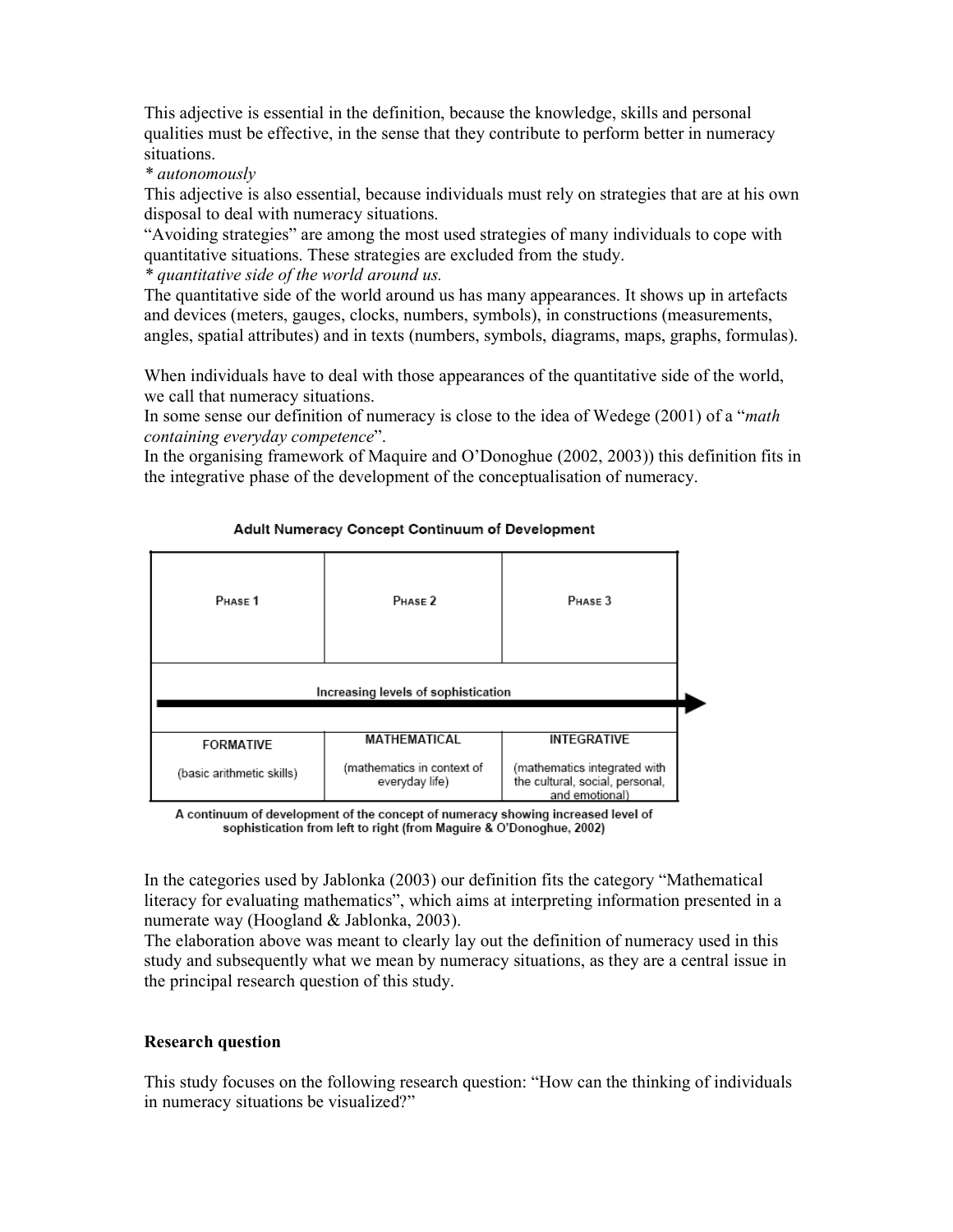This adjective is essential in the definition, because the knowledge, skills and personal qualities must be effective, in the sense that they contribute to perform better in numeracy situations.

\* autonomously

This adjective is also essential, because individuals must rely on strategies that are at his own disposal to deal with numeracy situations.

"Avoiding strategies" are among the most used strategies of many individuals to cope with quantitative situations. These strategies are excluded from the study.

\* quantitative side of the world around us.

The quantitative side of the world around us has many appearances. It shows up in artefacts and devices (meters, gauges, clocks, numbers, symbols), in constructions (measurements, angles, spatial attributes) and in texts (numbers, symbols, diagrams, maps, graphs, formulas).

When individuals have to deal with those appearances of the quantitative side of the world, we call that numeracy situations.

In some sense our definition of numeracy is close to the idea of Wedege (2001) of a "math containing everyday competence".

In the organising framework of Maquire and O'Donoghue (2002, 2003)) this definition fits in the integrative phase of the development of the conceptualisation of numeracy.

| PHASE <sub>1</sub>                  | PHASE <sub>2</sub>                           | $P$ HASF $3$                                                                      |  |
|-------------------------------------|----------------------------------------------|-----------------------------------------------------------------------------------|--|
| Increasing levels of sophistication |                                              |                                                                                   |  |
|                                     |                                              |                                                                                   |  |
| <b>FORMATIVE</b>                    | MATHEMATICAL                                 | <b>INTEGRATIVE</b>                                                                |  |
| (basic arithmetic skills)           | (mathematics in context of<br>everyday life) | (mathematics integrated with<br>the cultural, social, personal,<br>and emotional) |  |

### Adult Numeracy Concept Continuum of Development

A continuum of development of the concept of numeracy showing increased level of sophistication from left to right (from Maguire & O'Donoghue, 2002)

In the categories used by Jablonka (2003) our definition fits the category "Mathematical literacy for evaluating mathematics", which aims at interpreting information presented in a numerate way (Hoogland & Jablonka, 2003).

The elaboration above was meant to clearly lay out the definition of numeracy used in this study and subsequently what we mean by numeracy situations, as they are a central issue in the principal research question of this study.

#### Research question

This study focuses on the following research question: "How can the thinking of individuals in numeracy situations be visualized?"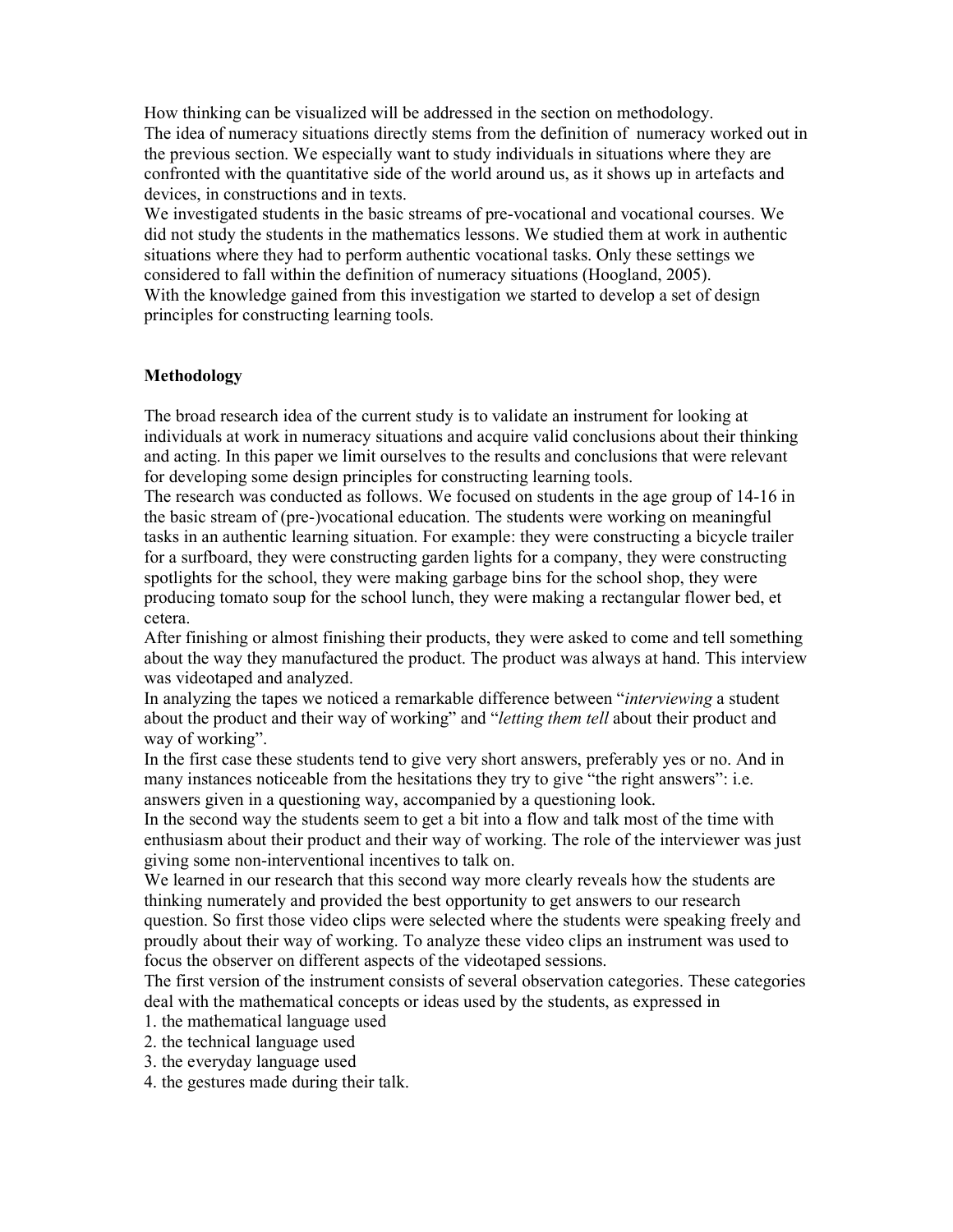How thinking can be visualized will be addressed in the section on methodology. The idea of numeracy situations directly stems from the definition of numeracy worked out in the previous section. We especially want to study individuals in situations where they are confronted with the quantitative side of the world around us, as it shows up in artefacts and devices, in constructions and in texts.

We investigated students in the basic streams of pre-vocational and vocational courses. We did not study the students in the mathematics lessons. We studied them at work in authentic situations where they had to perform authentic vocational tasks. Only these settings we considered to fall within the definition of numeracy situations (Hoogland, 2005). With the knowledge gained from this investigation we started to develop a set of design principles for constructing learning tools.

# Methodology

The broad research idea of the current study is to validate an instrument for looking at individuals at work in numeracy situations and acquire valid conclusions about their thinking and acting. In this paper we limit ourselves to the results and conclusions that were relevant for developing some design principles for constructing learning tools.

The research was conducted as follows. We focused on students in the age group of 14-16 in the basic stream of (pre-)vocational education. The students were working on meaningful tasks in an authentic learning situation. For example: they were constructing a bicycle trailer for a surfboard, they were constructing garden lights for a company, they were constructing spotlights for the school, they were making garbage bins for the school shop, they were producing tomato soup for the school lunch, they were making a rectangular flower bed, et cetera.

After finishing or almost finishing their products, they were asked to come and tell something about the way they manufactured the product. The product was always at hand. This interview was videotaped and analyzed.

In analyzing the tapes we noticed a remarkable difference between "*interviewing* a student about the product and their way of working" and "letting them tell about their product and way of working".

In the first case these students tend to give very short answers, preferably yes or no. And in many instances noticeable from the hesitations they try to give "the right answers": i.e. answers given in a questioning way, accompanied by a questioning look.

In the second way the students seem to get a bit into a flow and talk most of the time with enthusiasm about their product and their way of working. The role of the interviewer was just giving some non-interventional incentives to talk on.

We learned in our research that this second way more clearly reveals how the students are thinking numerately and provided the best opportunity to get answers to our research question. So first those video clips were selected where the students were speaking freely and proudly about their way of working. To analyze these video clips an instrument was used to focus the observer on different aspects of the videotaped sessions.

The first version of the instrument consists of several observation categories. These categories deal with the mathematical concepts or ideas used by the students, as expressed in

- 1. the mathematical language used
- 2. the technical language used
- 3. the everyday language used
- 4. the gestures made during their talk.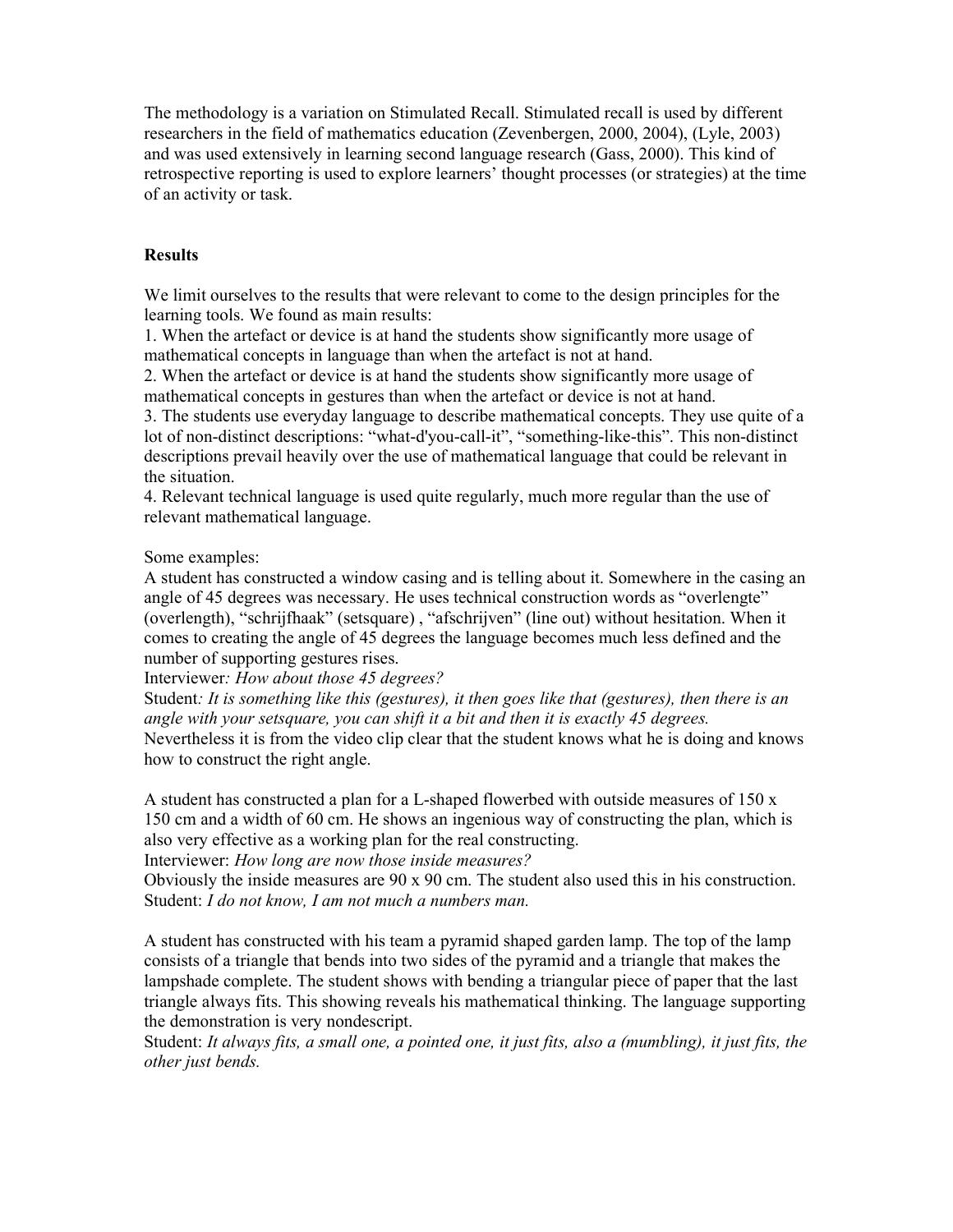The methodology is a variation on Stimulated Recall. Stimulated recall is used by different researchers in the field of mathematics education (Zevenbergen, 2000, 2004), (Lyle, 2003) and was used extensively in learning second language research (Gass, 2000). This kind of retrospective reporting is used to explore learners' thought processes (or strategies) at the time of an activity or task.

# **Results**

We limit ourselves to the results that were relevant to come to the design principles for the learning tools. We found as main results:

1. When the artefact or device is at hand the students show significantly more usage of mathematical concepts in language than when the artefact is not at hand.

2. When the artefact or device is at hand the students show significantly more usage of mathematical concepts in gestures than when the artefact or device is not at hand.

3. The students use everyday language to describe mathematical concepts. They use quite of a lot of non-distinct descriptions: "what-d'you-call-it", "something-like-this". This non-distinct descriptions prevail heavily over the use of mathematical language that could be relevant in the situation.

4. Relevant technical language is used quite regularly, much more regular than the use of relevant mathematical language.

## Some examples:

A student has constructed a window casing and is telling about it. Somewhere in the casing an angle of 45 degrees was necessary. He uses technical construction words as "overlengte" (overlength), "schrijfhaak" (setsquare) , "afschrijven" (line out) without hesitation. When it comes to creating the angle of 45 degrees the language becomes much less defined and the number of supporting gestures rises.

Interviewer: How about those 45 degrees?

Student: It is something like this (gestures), it then goes like that (gestures), then there is an angle with your setsquare, you can shift it a bit and then it is exactly 45 degrees.

Nevertheless it is from the video clip clear that the student knows what he is doing and knows how to construct the right angle.

A student has constructed a plan for a L-shaped flowerbed with outside measures of 150 x 150 cm and a width of 60 cm. He shows an ingenious way of constructing the plan, which is also very effective as a working plan for the real constructing.

Interviewer: How long are now those inside measures?

Obviously the inside measures are 90 x 90 cm. The student also used this in his construction. Student: I do not know, I am not much a numbers man.

A student has constructed with his team a pyramid shaped garden lamp. The top of the lamp consists of a triangle that bends into two sides of the pyramid and a triangle that makes the lampshade complete. The student shows with bending a triangular piece of paper that the last triangle always fits. This showing reveals his mathematical thinking. The language supporting the demonstration is very nondescript.

Student: It always fits, a small one, a pointed one, it just fits, also a (mumbling), it just fits, the other just bends.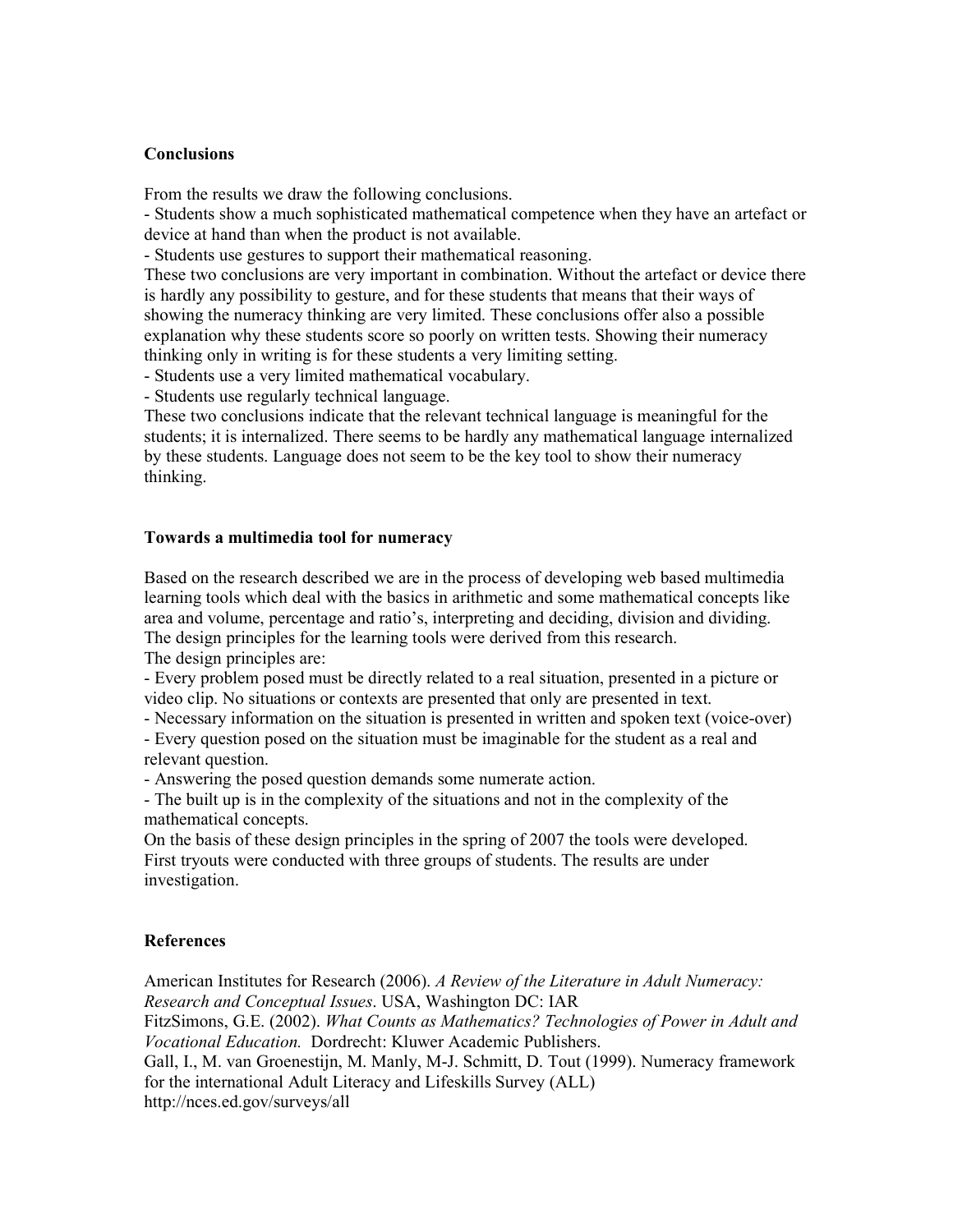## **Conclusions**

From the results we draw the following conclusions.

- Students show a much sophisticated mathematical competence when they have an artefact or device at hand than when the product is not available.

- Students use gestures to support their mathematical reasoning.

These two conclusions are very important in combination. Without the artefact or device there is hardly any possibility to gesture, and for these students that means that their ways of showing the numeracy thinking are very limited. These conclusions offer also a possible explanation why these students score so poorly on written tests. Showing their numeracy thinking only in writing is for these students a very limiting setting.

- Students use a very limited mathematical vocabulary.

- Students use regularly technical language.

These two conclusions indicate that the relevant technical language is meaningful for the students; it is internalized. There seems to be hardly any mathematical language internalized by these students. Language does not seem to be the key tool to show their numeracy thinking.

#### Towards a multimedia tool for numeracy

Based on the research described we are in the process of developing web based multimedia learning tools which deal with the basics in arithmetic and some mathematical concepts like area and volume, percentage and ratio's, interpreting and deciding, division and dividing. The design principles for the learning tools were derived from this research. The design principles are:

- Every problem posed must be directly related to a real situation, presented in a picture or video clip. No situations or contexts are presented that only are presented in text.

- Necessary information on the situation is presented in written and spoken text (voice-over)

- Every question posed on the situation must be imaginable for the student as a real and relevant question.

- Answering the posed question demands some numerate action.

- The built up is in the complexity of the situations and not in the complexity of the mathematical concepts.

On the basis of these design principles in the spring of 2007 the tools were developed. First tryouts were conducted with three groups of students. The results are under investigation.

#### References

American Institutes for Research (2006). A Review of the Literature in Adult Numeracy: Research and Conceptual Issues. USA, Washington DC: IAR

FitzSimons, G.E. (2002). What Counts as Mathematics? Technologies of Power in Adult and Vocational Education. Dordrecht: Kluwer Academic Publishers.

Gall, I., M. van Groenestijn, M. Manly, M-J. Schmitt, D. Tout (1999). Numeracy framework for the international Adult Literacy and Lifeskills Survey (ALL)

http://nces.ed.gov/surveys/all